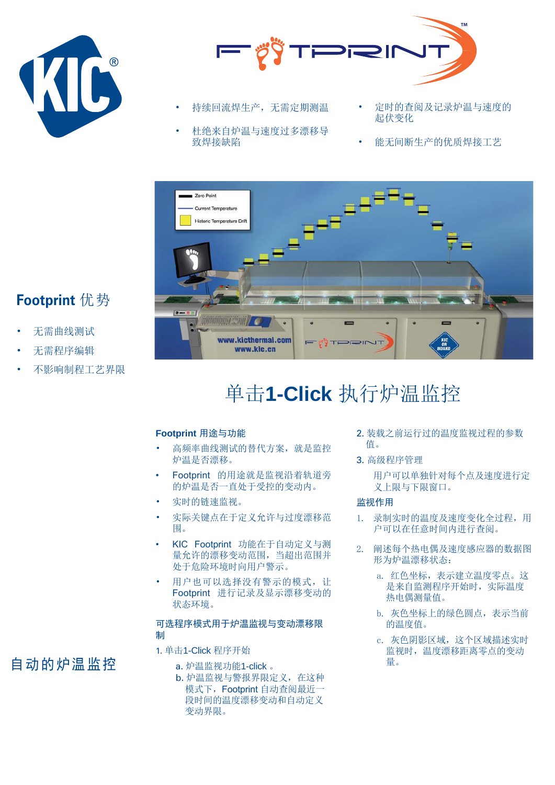



- 持续回流焊生产, 无需定期测温
- 杜绝来自炉温与速度过多漂移导 致焊接缺陷
- 定时的杳阅及记录炉温与速度的 起伏变化
- 能无间断生产的优质焊接工艺



## **Footprint** 优势

- 无需曲线测试
- 无需程序编辑
- 不影响制程工艺界限

# 单击1-Click 执行炉温监控

#### **Footprint** 用途与功能

- 高频率曲线测试的替代方案, 就是监控 炉温是否漂移。
- Footprint 的用途就是监视沿着轨道旁 的炉温是否一直处于受控的变动内。
- 实时的链速监视。
- 实际关键点在于定义允许与过度漂移范 围。
- KIC Footprint 功能在于自动定义与测 量允许的漂移变动范围, 当超出范围并 处于危险环境时向用户警示。
- 用户也可以选择没有警示的模式, 让 Footprint 进行记录及显示漂移变动的 状态环境。

#### 可选程序模式用于炉温监视与变动漂移限 制

- 1. 单击1-Click 程序开始
	- a. 炉温监视功能1-click 。
		- b. 炉温监视与警报界限定义, 在这种 模式下, Footprint 自动查阅最近一 段时间的温度漂移变动和自动定义 变动界限。
- 2. 装载之前运行过的温度监视过程的参数 值。
- 3. 高级程序管理

用户可以单独针对每个点及速度讲行定 义上限与下限窗口。

#### 监视作用

- 1. 录制实时的温度及速度变化全过程,用 户可以在仟意时间内讲行杳阅。
- 2. 阐述每个热电偶及速度感应器的数据图 形为炉温漂移状态:
	- a. 红色坐标, 表示建立温度零点。这 是来自监测程序开始时, 实际温度 热电偶测量值。
	- b. 灰色坐标上的绿色圆点, 表示当前 的温度值。
	- c. 灰色阴影区域, 这个区域描述实时 监视时,温度漂移距离零点的变动 量。

## 自动的炉温监控